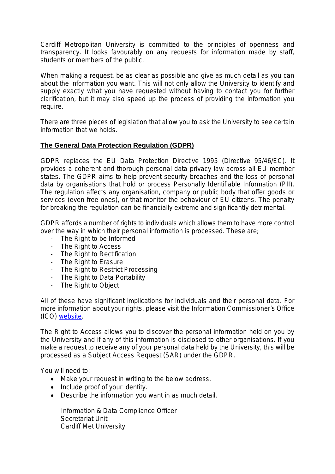Cardiff Metropolitan University is committed to the principles of openness and transparency. It looks favourably on any requests for information made by staff, students or members of the public.

When making a request, be as clear as possible and give as much detail as you can about the information you want. This will not only allow the University to identify and supply exactly what you have requested without having to contact you for further clarification, but it may also speed up the process of providing the information you require.

There are three pieces of legislation that allow you to ask the University to see certain information that we holds.

## **The General Data Protection Regulation (GDPR)**

GDPR replaces the EU Data Protection Directive 1995 (Directive 95/46/EC). It provides a coherent and thorough personal data privacy law across all EU member states. The GDPR aims to help prevent security breaches and the loss of personal data by organisations that hold or process Personally Identifiable Information (PII). The regulation affects any organisation, company or public body that offer goods or services (even free ones), or that monitor the behaviour of EU citizens. The penalty for breaking the regulation can be financially extreme and significantly detrimental.

GDPR affords a number of rights to individuals which allows them to have more control over the way in which their personal information is processed. These are;

- The Right to be Informed
- The Right to Access
- The Right to Rectification
- The Right to Erasure
- The Right to Restrict Processing
- The Right to Data Portability
- The Right to Object

All of these have significant implications for individuals and their personal data. For more information about your rights, please visit the Information Commissioner's Office (ICO) website.

The Right to Access allows you to discover the personal information held on you by the University and if any of this information is disclosed to other organisations. If you make a request to receive any of your personal data held by the University, this will be processed as a Subject Access Request (SAR) under the GDPR.

You will need to:

- Make your request in writing to the below address.
- Include proof of your identity.
- Describe the information you want in as much detail.

 Information & Data Compliance Officer Secretariat Unit Cardiff Met University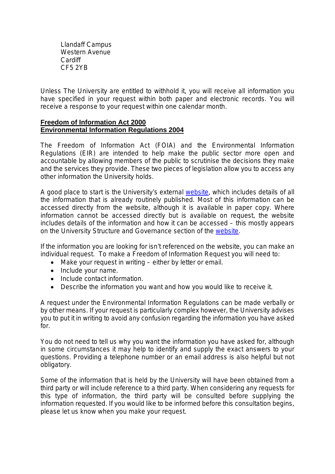Llandaff Campus Western Avenue **Cardiff** CF5 2YB

Unless The University are entitled to withhold it, you will receive all information you have specified in your request within both paper and electronic records. You will receive a response to your request within one calendar month.

#### **Freedom of Information Act 2000 Environmental Information Regulations 2004**

The Freedom of Information Act (FOIA) and the Environmental Information Regulations (EIR) are intended to help make the public sector more open and accountable by allowing members of the public to scrutinise the decisions they make and the services they provide. These two pieces of legislation allow you to access any other information the University holds.

A good place to start is the University's external website, which includes details of all the information that is already routinely published. Most of this information can be accessed directly from the website, although it is available in paper copy. Where information cannot be accessed directly but is available on request, the website includes details of the information and how it can be accessed – this mostly appears on the University Structure and Governance section of the website.

If the information you are looking for isn't referenced on the website, you can make an individual request. To make a Freedom of Information Request you will need to:

- Make your request in writing either by letter or email.
- Include your name.
- Include contact information.
- Describe the information you want and how you would like to receive it.

A request under the Environmental Information Regulations can be made verbally or by other means. If your request is particularly complex however, the University advises you to put it in writing to avoid any confusion regarding the information you have asked for.

You do not need to tell us why you want the information you have asked for, although in some circumstances it may help to identify and supply the exact answers to your questions. Providing a telephone number or an email address is also helpful but not obligatory.

Some of the information that is held by the University will have been obtained from a third party or will include reference to a third party. When considering any requests for this type of information, the third party will be consulted before supplying the information requested. If you would like to be informed before this consultation begins, please let us know when you make your request.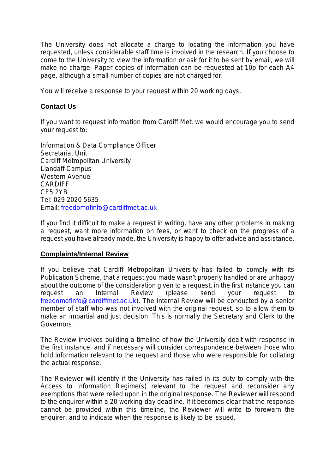The University does not allocate a charge to locating the information you have requested, unless considerable staff time is involved in the research. If you choose to come to the University to view the information or ask for it to be sent by email, we will make no charge. Paper copies of information can be requested at 10p for each A4 page, although a small number of copies are not charged for.

You will receive a response to your request within 20 working days.

### **Contact Us**

If you want to request information from Cardiff Met, we would encourage you to send your request to:

Information & Data Compliance Officer Secretariat Unit Cardiff Metropolitan University Llandaff Campus Western Avenue **CARDIFF** CF5 2YB Tel: 029 2020 5635 Email: freedomofinfo@cardiffmet.ac.uk

If you find it difficult to make a request in writing, have any other problems in making a request, want more information on fees, or want to check on the progress of a request you have already made, the University is happy to offer advice and assistance.

### **Complaints/Internal Review**

If you believe that Cardiff Metropolitan University has failed to comply with its Publication Scheme, that a request you made wasn't properly handled or are unhappy about the outcome of the consideration given to a request, in the first instance you can request an Internal Review (please send your request to freedomofinfo@cardiffmet.ac.uk). The Internal Review will be conducted by a senior member of staff who was not involved with the original request, so to allow them to make an impartial and just decision. This is normally the Secretary and Clerk to the Governors.

The Review involves building a timeline of how the University dealt with response in the first instance, and if necessary will consider correspondence between those who hold information relevant to the request and those who were responsible for collating the actual response.

The Reviewer will identify if the University has failed in its duty to comply with the Access to Information Regime(s) relevant to the request and reconsider any exemptions that were relied upon in the original response. The Reviewer will respond to the enquirer within a 20 working-day deadline. If it becomes clear that the response cannot be provided within this timeline, the Reviewer will write to forewarn the enquirer, and to indicate when the response is likely to be issued.